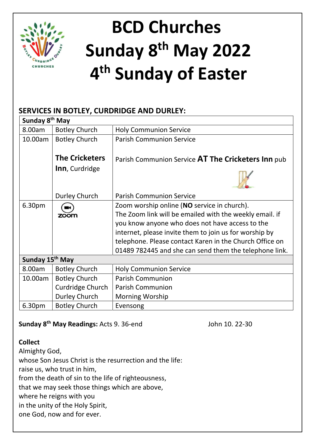

# **BCD Churches Sunday 8 th May 2022 4 th Sunday of Easter**

# **SERVICES IN BOTLEY, CURDRIDGE AND DURLEY:**

| Sunday 8 <sup>th</sup> May  |                       |                                                         |
|-----------------------------|-----------------------|---------------------------------------------------------|
| 8.00am                      | <b>Botley Church</b>  | <b>Holy Communion Service</b>                           |
| 10.00am                     | <b>Botley Church</b>  | <b>Parish Communion Service</b>                         |
|                             |                       |                                                         |
|                             | <b>The Cricketers</b> | Parish Communion Service AT The Cricketers Inn pub      |
|                             | Inn, Curdridge        |                                                         |
|                             |                       |                                                         |
|                             | Durley Church         | <b>Parish Communion Service</b>                         |
| 6.30pm                      |                       | Zoom worship online (NO service in church).             |
|                             | zoom                  | The Zoom link will be emailed with the weekly email. if |
|                             |                       | you know anyone who does not have access to the         |
|                             |                       | internet, please invite them to join us for worship by  |
|                             |                       | telephone. Please contact Karen in the Church Office on |
|                             |                       | 01489 782445 and she can send them the telephone link.  |
| Sunday 15 <sup>th</sup> May |                       |                                                         |
| 8.00am                      | <b>Botley Church</b>  | <b>Holy Communion Service</b>                           |
| 10.00am                     | <b>Botley Church</b>  | <b>Parish Communion</b>                                 |
|                             | Curdridge Church      | <b>Parish Communion</b>                                 |
|                             | Durley Church         | <b>Morning Worship</b>                                  |
| 6.30pm                      | <b>Botley Church</b>  | Evensong                                                |

## **Sunday 8<sup>th</sup> May Readings:** Acts 9. 36-end John 10. 22-30

## **Collect**

Almighty God, whose Son Jesus Christ is the resurrection and the life: raise us, who trust in him, from the death of sin to the life of righteousness, that we may seek those things which are above, where he reigns with you in the unity of the Holy Spirit, one God, now and for ever.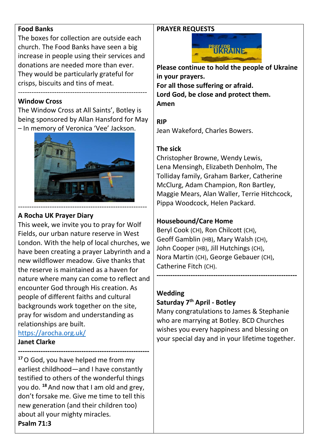#### **Food Banks**

The boxes for collection are outside each church. The Food Banks have seen a big increase in people using their services and donations are needed more than ever. They would be particularly grateful for crisps, biscuits and tins of meat.

---------------------------------------------------------

## **Window Cross**

The Window Cross at All Saints', Botley is being sponsored by Allan Hansford for May – In memory of Veronica 'Vee' Jackson.



## **A Rocha UK Prayer Diary**

This week, we invite you to pray for Wolf Fields, our urban nature reserve in West London. With the help of local churches, we have been creating a prayer Labyrinth and a new wildflower meadow. Give thanks that the reserve is maintained as a haven for nature where many can come to reflect and encounter God through His creation. As people of different faiths and cultural backgrounds work together on the site, pray for wisdom and understanding as relationships are built. <https://arocha.org.uk/>

#### **Janet Clarke**

**---------------------------------------------------------- <sup>17</sup>**O God, you have helped me from my earliest childhood—and I have constantly testified to others of the wonderful things you do. **<sup>18</sup>** And now that I am old and grey, don't forsake me. Give me time to tell this new generation (and their children too) about all your mighty miracles. **Psalm 71:3**

## **PRAYER REQUESTS**



**Please continue to hold the people of Ukraine in your prayers. For all those suffering or afraid. Lord God, be close and protect them. Amen**

**RIP** Jean Wakeford, Charles Bowers.

## **The sick**

Christopher Browne, Wendy Lewis, Lena Mensingh, Elizabeth Denholm, The Tolliday family, Graham Barker, Catherine McClurg, Adam Champion, Ron Bartley, Maggie Mears, Alan Waller, Terrie Hitchcock, Pippa Woodcock, Helen Packard.

# **Housebound/Care Home**

Beryl Cook (CH), Ron Chilcott (CH), Geoff Gamblin (HB), Mary Walsh (CH), John Cooper (HB), Jill Hutchings (CH), Nora Martin (CH), George Gebauer (CH), Catherine Fitch (CH).

## **Wedding**

## **Saturday 7 th April - Botley**

Many congratulations to James & Stephanie who are marrying at Botley. BCD Churches wishes you every happiness and blessing on your special day and in your lifetime together.

**--------------------------------------------------------------**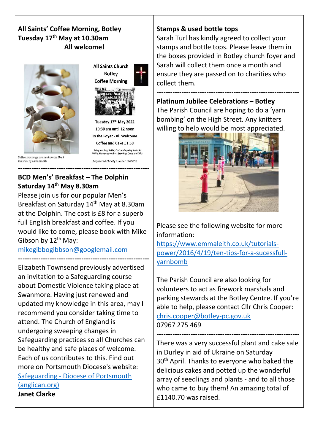## **All Saints' Coffee Morning, Botley Tuesday 17th May at 10.30am All welcome!**







Tuesday 17th May 2022 10:30 am until 12 noon In the Foyer - All Welcome Coffee and Cake £1.50 Bring and Buy, Raffle, Choice of quality Books &<br>DVD's. Homemade cakes, Greetings Cards and Gifts Realstered Charity number 1160056

Tuesday of each month

#### **---------------------------------------------------------- BCD Men's' Breakfast – The Dolphin**

**Saturday 14th May 8.30am**

Please join us for our popular Men's Breakfast on Saturday 14<sup>th</sup> May at 8.30am at the Dolphin. The cost is £8 for a superb full English breakfast and coffee. If you would like to come, please book with Mike Gibson by  $12^{th}$  May:

[mikegibbogibbson@googlemail.com](mailto:mikegibbogibbson@googlemail.com)

```
----------------------------------------------------------
Elizabeth Townsend previously advertised 
an invitation to a Safeguarding course 
about Domestic Violence taking place at 
Swanmore. Having just renewed and 
updated my knowledge in this area, may I 
recommend you consider taking time to 
attend. The Church of England is 
undergoing sweeping changes in 
Safeguarding practices so all Churches can 
be healthy and safe places of welcome. 
Each of us contributes to this. Find out 
more on Portsmouth Diocese's website:
Safeguarding - Diocese of Portsmouth 
(anglican.org)
Janet Clarke
```
# **Stamps & used bottle tops**

Sarah Turl has kindly agreed to collect your stamps and bottle tops. Please leave them in the boxes provided in Botley church foyer and Sarah will collect them once a month and ensure they are passed on to charities who collect them.

--------------------------------------------------------------- **Platinum Jubilee Celebrations – Botley** The Parish Council are hoping to do a 'yarn bombing' on the High Street. Any knitters willing to help would be most appreciated.



Please see the following website for more information:

[https://www.emmaleith.co.uk/tutorials](https://www.emmaleith.co.uk/tutorials-power/2016/4/19/ten-tips-for-a-sucessfull-yarnbomb)[power/2016/4/19/ten-tips-for-a-sucessfull](https://www.emmaleith.co.uk/tutorials-power/2016/4/19/ten-tips-for-a-sucessfull-yarnbomb)[yarnbomb](https://www.emmaleith.co.uk/tutorials-power/2016/4/19/ten-tips-for-a-sucessfull-yarnbomb)

The Parish Council are also looking for volunteers to act as firework marshals and parking stewards at the Botley Centre. If you're able to help, please contact Cllr Chris Cooper: [chris.cooper@botley-pc.gov.uk](mailto:chris.cooper@botley-pc.gov.uk) 07967 275 469

--------------------------------------------------------------- There was a very successful plant and cake sale in Durley in aid of Ukraine on Saturday 30<sup>th</sup> April. Thanks to everyone who baked the delicious cakes and potted up the wonderful array of seedlings and plants - and to all those who came to buy them! An amazing total of £1140.70 was raised.